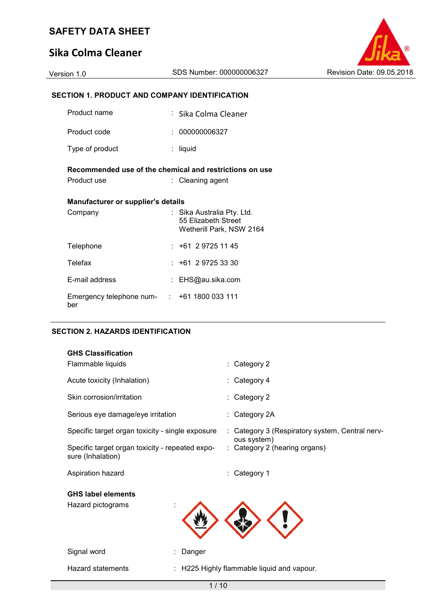# **Sika Colma Cleaner**



## **SECTION 1. PRODUCT AND COMPANY IDENTIFICATION**

| Product name                                       | : Sika Colma Cleaner                                                          |  |  |  |  |
|----------------------------------------------------|-------------------------------------------------------------------------------|--|--|--|--|
| Product code                                       | : 000000006327                                                                |  |  |  |  |
| Type of product                                    | : liquid                                                                      |  |  |  |  |
|                                                    | Recommended use of the chemical and restrictions on use                       |  |  |  |  |
| Product use                                        | : Cleaning agent                                                              |  |  |  |  |
| Manufacturer or supplier's details                 |                                                                               |  |  |  |  |
| Company                                            | : Sika Australia Pty. Ltd.<br>55 Elizabeth Street<br>Wetherill Park, NSW 2164 |  |  |  |  |
| Telephone                                          | $: +61297251145$                                                              |  |  |  |  |
| Telefax                                            | $: +61297253330$                                                              |  |  |  |  |
| E-mail address                                     | : EHS@au.sika.com                                                             |  |  |  |  |
| Emergency telephone num- : +61 1800 033 111<br>ber |                                                                               |  |  |  |  |

#### **SECTION 2. HAZARDS IDENTIFICATION**

| <b>GHS Classification</b>                                            |                                                                |
|----------------------------------------------------------------------|----------------------------------------------------------------|
| Flammable liquids                                                    | $\therefore$ Category 2                                        |
| Acute toxicity (Inhalation)                                          | $\therefore$ Category 4                                        |
| Skin corrosion/irritation                                            | $\therefore$ Category 2                                        |
| Serious eye damage/eye irritation                                    | $\therefore$ Category 2A                                       |
| Specific target organ toxicity - single exposure                     | : Category 3 (Respiratory system, Central nerv-<br>ous system) |
| Specific target organ toxicity - repeated expo-<br>sure (Inhalation) | : Category 2 (hearing organs)                                  |
| Aspiration hazard                                                    | Category 1                                                     |

# **GHS label elements**

Hazard pictograms :



Signal word **: Danger** : Danger

Hazard statements : H225 Highly flammable liquid and vapour.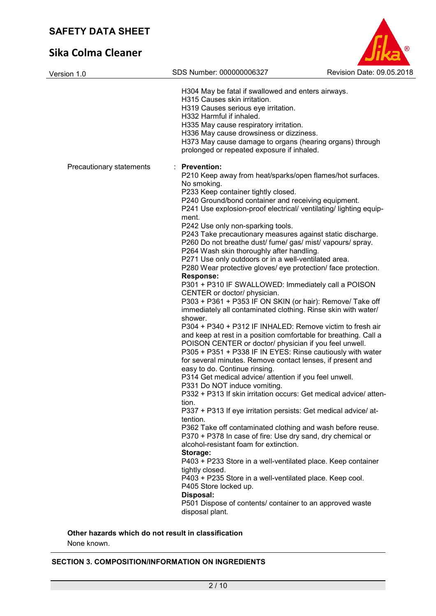# **Sika Colma Cleaner**



| Version 1.0              | SDS Number: 000000006327                                                           | Revision Date: 09.05.2018 |
|--------------------------|------------------------------------------------------------------------------------|---------------------------|
|                          |                                                                                    |                           |
|                          | H304 May be fatal if swallowed and enters airways.<br>H315 Causes skin irritation. |                           |
|                          | H319 Causes serious eye irritation.                                                |                           |
|                          | H332 Harmful if inhaled.                                                           |                           |
|                          | H335 May cause respiratory irritation.                                             |                           |
|                          | H336 May cause drowsiness or dizziness.                                            |                           |
|                          | H373 May cause damage to organs (hearing organs) through                           |                           |
|                          | prolonged or repeated exposure if inhaled.                                         |                           |
| Precautionary statements | <b>Prevention:</b>                                                                 |                           |
|                          | P210 Keep away from heat/sparks/open flames/hot surfaces.                          |                           |
|                          | No smoking.                                                                        |                           |
|                          | P233 Keep container tightly closed.                                                |                           |
|                          | P240 Ground/bond container and receiving equipment.                                |                           |
|                          | P241 Use explosion-proof electrical/ ventilating/ lighting equip-                  |                           |
|                          | ment.                                                                              |                           |
|                          | P242 Use only non-sparking tools.                                                  |                           |
|                          | P243 Take precautionary measures against static discharge.                         |                           |
|                          | P260 Do not breathe dust/ fume/ gas/ mist/ vapours/ spray.                         |                           |
|                          | P264 Wash skin thoroughly after handling.                                          |                           |
|                          | P271 Use only outdoors or in a well-ventilated area.                               |                           |
|                          | P280 Wear protective gloves/ eye protection/ face protection.                      |                           |
|                          | <b>Response:</b>                                                                   |                           |
|                          | P301 + P310 IF SWALLOWED: Immediately call a POISON                                |                           |
|                          | CENTER or doctor/ physician.                                                       |                           |
|                          | P303 + P361 + P353 IF ON SKIN (or hair): Remove/ Take off                          |                           |
|                          | immediately all contaminated clothing. Rinse skin with water/                      |                           |
|                          | shower.                                                                            |                           |
|                          | P304 + P340 + P312 IF INHALED: Remove victim to fresh air                          |                           |
|                          | and keep at rest in a position comfortable for breathing. Call a                   |                           |
|                          | POISON CENTER or doctor/ physician if you feel unwell.                             |                           |
|                          | P305 + P351 + P338 IF IN EYES: Rinse cautiously with water                         |                           |
|                          | for several minutes. Remove contact lenses, if present and                         |                           |
|                          | easy to do. Continue rinsing.                                                      |                           |
|                          | P314 Get medical advice/ attention if you feel unwell.                             |                           |
|                          | P331 Do NOT induce vomiting.                                                       |                           |
|                          | P332 + P313 If skin irritation occurs: Get medical advice/ atten-                  |                           |
|                          | tion.                                                                              |                           |
|                          | P337 + P313 If eye irritation persists: Get medical advice/ at-                    |                           |
|                          | tention.                                                                           |                           |
|                          | P362 Take off contaminated clothing and wash before reuse.                         |                           |
|                          | P370 + P378 In case of fire: Use dry sand, dry chemical or                         |                           |
|                          | alcohol-resistant foam for extinction.                                             |                           |
|                          | Storage:                                                                           |                           |
|                          | P403 + P233 Store in a well-ventilated place. Keep container                       |                           |
|                          | tightly closed.                                                                    |                           |
|                          | P403 + P235 Store in a well-ventilated place. Keep cool.                           |                           |
|                          | P405 Store locked up.                                                              |                           |
|                          | Disposal:                                                                          |                           |
|                          | P501 Dispose of contents/ container to an approved waste                           |                           |
|                          | disposal plant.                                                                    |                           |
|                          |                                                                                    |                           |

**Other hazards which do not result in classification**

None known.

## **SECTION 3. COMPOSITION/INFORMATION ON INGREDIENTS**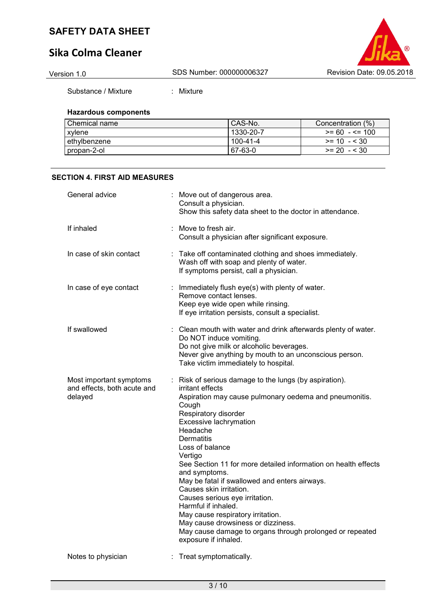# **Sika Colma Cleaner**



Substance / Mixture : Mixture

#### **Hazardous components**

| l Chemical name | CAS-No.   | Concentration (%) |
|-----------------|-----------|-------------------|
| xvlene          | 1330-20-7 | $>= 60 - 5 = 100$ |
| l ethvlbenzene. | 100-41-4  | $>= 10 - 530$     |
| propan-2-ol     | 67-63-0   | $>= 20 - 530$     |

#### **SECTION 4. FIRST AID MEASURES**

| General advice                                                    |   | Move out of dangerous area.<br>Consult a physician.<br>Show this safety data sheet to the doctor in attendance.                                                                                                                                                                                                                                                                                                                                                                                                                                                                                                                                |
|-------------------------------------------------------------------|---|------------------------------------------------------------------------------------------------------------------------------------------------------------------------------------------------------------------------------------------------------------------------------------------------------------------------------------------------------------------------------------------------------------------------------------------------------------------------------------------------------------------------------------------------------------------------------------------------------------------------------------------------|
| If inhaled                                                        |   | Move to fresh air.<br>Consult a physician after significant exposure.                                                                                                                                                                                                                                                                                                                                                                                                                                                                                                                                                                          |
| In case of skin contact                                           | ÷ | Take off contaminated clothing and shoes immediately.<br>Wash off with soap and plenty of water.<br>If symptoms persist, call a physician.                                                                                                                                                                                                                                                                                                                                                                                                                                                                                                     |
| In case of eye contact                                            |   | : Immediately flush eye(s) with plenty of water.<br>Remove contact lenses.<br>Keep eye wide open while rinsing.<br>If eye irritation persists, consult a specialist.                                                                                                                                                                                                                                                                                                                                                                                                                                                                           |
| If swallowed                                                      |   | Clean mouth with water and drink afterwards plenty of water.<br>Do NOT induce vomiting.<br>Do not give milk or alcoholic beverages.<br>Never give anything by mouth to an unconscious person.<br>Take victim immediately to hospital.                                                                                                                                                                                                                                                                                                                                                                                                          |
| Most important symptoms<br>and effects, both acute and<br>delayed |   | : Risk of serious damage to the lungs (by aspiration).<br>irritant effects<br>Aspiration may cause pulmonary oedema and pneumonitis.<br>Cough<br>Respiratory disorder<br>Excessive lachrymation<br>Headache<br>Dermatitis<br>Loss of balance<br>Vertigo<br>See Section 11 for more detailed information on health effects<br>and symptoms.<br>May be fatal if swallowed and enters airways.<br>Causes skin irritation.<br>Causes serious eye irritation.<br>Harmful if inhaled.<br>May cause respiratory irritation.<br>May cause drowsiness or dizziness.<br>May cause damage to organs through prolonged or repeated<br>exposure if inhaled. |
| Notes to physician                                                |   | Treat symptomatically.                                                                                                                                                                                                                                                                                                                                                                                                                                                                                                                                                                                                                         |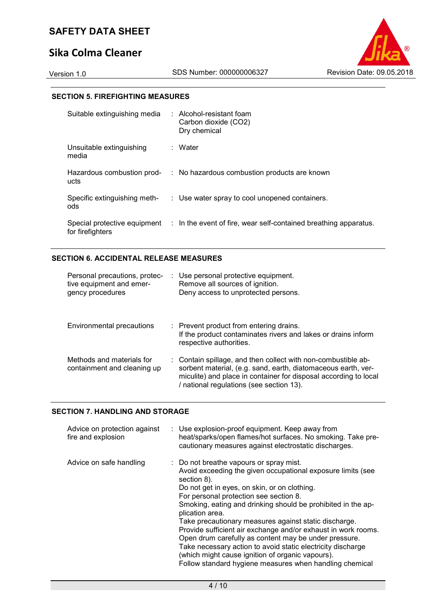# **Sika Colma Cleaner**

### **SECTION 5. FIREFIGHTING MEASURES**

| Suitable extinguishing media                     | : Alcohol-resistant foam<br>Carbon dioxide (CO2)<br>Dry chemical |
|--------------------------------------------------|------------------------------------------------------------------|
| Unsuitable extinguishing<br>media                | : Water                                                          |
| Hazardous combustion prod-<br>ucts               | : No hazardous combustion products are known                     |
| Specific extinguishing meth-<br>ods              | : Use water spray to cool unopened containers.                   |
| Special protective equipment<br>for firefighters | : In the event of fire, wear self-contained breathing apparatus. |

## **SECTION 6. ACCIDENTAL RELEASE MEASURES**

| Personal precautions, protec-<br>tive equipment and emer-<br>gency procedures | : Use personal protective equipment.<br>Remove all sources of ignition.<br>Deny access to unprotected persons.                                                                                                                                 |
|-------------------------------------------------------------------------------|------------------------------------------------------------------------------------------------------------------------------------------------------------------------------------------------------------------------------------------------|
| Environmental precautions                                                     | : Prevent product from entering drains.<br>If the product contaminates rivers and lakes or drains inform<br>respective authorities.                                                                                                            |
| Methods and materials for<br>containment and cleaning up                      | : Contain spillage, and then collect with non-combustible ab-<br>sorbent material, (e.g. sand, earth, diatomaceous earth, ver-<br>miculite) and place in container for disposal according to local<br>/ national regulations (see section 13). |

#### **SECTION 7. HANDLING AND STORAGE**

| Advice on protection against<br>fire and explosion | : Use explosion-proof equipment. Keep away from<br>heat/sparks/open flames/hot surfaces. No smoking. Take pre-<br>cautionary measures against electrostatic discharges.                                                                                                                                                                                                                                                                                                                                                                                                                                                                                             |
|----------------------------------------------------|---------------------------------------------------------------------------------------------------------------------------------------------------------------------------------------------------------------------------------------------------------------------------------------------------------------------------------------------------------------------------------------------------------------------------------------------------------------------------------------------------------------------------------------------------------------------------------------------------------------------------------------------------------------------|
| Advice on safe handling                            | : Do not breathe vapours or spray mist.<br>Avoid exceeding the given occupational exposure limits (see<br>section 8).<br>Do not get in eyes, on skin, or on clothing.<br>For personal protection see section 8.<br>Smoking, eating and drinking should be prohibited in the ap-<br>plication area.<br>Take precautionary measures against static discharge.<br>Provide sufficient air exchange and/or exhaust in work rooms.<br>Open drum carefully as content may be under pressure.<br>Take necessary action to avoid static electricity discharge<br>(which might cause ignition of organic vapours).<br>Follow standard hygiene measures when handling chemical |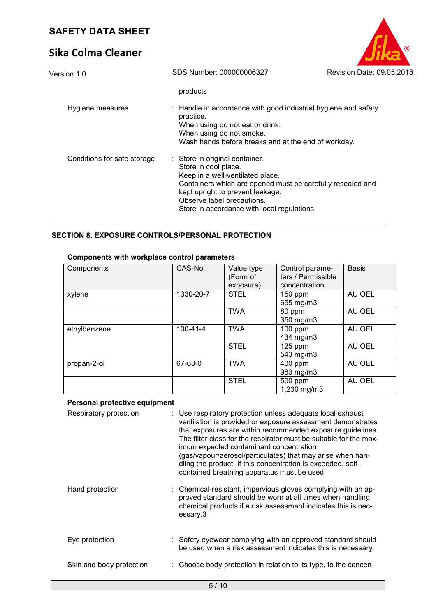# **Sika Colma Cleaner**

| SAFEIT DATA SHEEI           |                                                                                                                                                                                                                                                                           |                           |
|-----------------------------|---------------------------------------------------------------------------------------------------------------------------------------------------------------------------------------------------------------------------------------------------------------------------|---------------------------|
| Sika Colma Cleaner          |                                                                                                                                                                                                                                                                           |                           |
| Version 1.0                 | SDS Number: 000000006327                                                                                                                                                                                                                                                  | Revision Date: 09.05.2018 |
|                             | products                                                                                                                                                                                                                                                                  |                           |
| Hygiene measures            | $\therefore$ Handle in accordance with good industrial hygiene and safety<br>practice.<br>When using do not eat or drink.<br>When using do not smoke.<br>Wash hands before breaks and at the end of workday.                                                              |                           |
| Conditions for safe storage | : Store in original container.<br>Store in cool place.<br>Keep in a well-ventilated place.<br>Containers which are opened must be carefully resealed and<br>kept upright to prevent leakage.<br>Observe label precautions.<br>Store in accordance with local regulations. |                           |

## **SECTION 8. EXPOSURE CONTROLS/PERSONAL PROTECTION**

| Components   | CAS-No.        | Value type<br>(Form of<br>exposure) | Control parame-<br>ters / Permissible<br>concentration | <b>Basis</b> |
|--------------|----------------|-------------------------------------|--------------------------------------------------------|--------------|
| xylene       | 1330-20-7      | <b>STEL</b>                         | $150$ ppm<br>655 mg/m3                                 | AU OEL       |
|              |                | <b>TWA</b>                          | 80 ppm<br>350 mg/m3                                    | AU OEL       |
| ethylbenzene | $100 - 41 - 4$ | <b>TWA</b>                          | $100$ ppm<br>434 mg/m3                                 | AU OEL       |
|              |                | <b>STEL</b>                         | $125$ ppm<br>543 mg/m3                                 | AU OEL       |
| propan-2-ol  | 67-63-0        | <b>TWA</b>                          | 400 ppm<br>983 mg/m3                                   | AU OEL       |
|              |                | <b>STEL</b>                         | 500 ppm<br>1,230 mg/m3                                 | AU OEL       |

## **Components with workplace control parameters**

### **Personal protective equipment**

| Respiratory protection   | : Use respiratory protection unless adequate local exhaust<br>ventilation is provided or exposure assessment demonstrates<br>that exposures are within recommended exposure guidelines.<br>The filter class for the respirator must be suitable for the max-<br>imum expected contaminant concentration<br>(gas/vapour/aerosol/particulates) that may arise when han-<br>dling the product. If this concentration is exceeded, self-<br>contained breathing apparatus must be used. |
|--------------------------|-------------------------------------------------------------------------------------------------------------------------------------------------------------------------------------------------------------------------------------------------------------------------------------------------------------------------------------------------------------------------------------------------------------------------------------------------------------------------------------|
| Hand protection          | : Chemical-resistant, impervious gloves complying with an ap-<br>proved standard should be worn at all times when handling<br>chemical products if a risk assessment indicates this is nec-<br>essary.3                                                                                                                                                                                                                                                                             |
| Eye protection           | : Safety eyewear complying with an approved standard should<br>be used when a risk assessment indicates this is necessary.                                                                                                                                                                                                                                                                                                                                                          |
| Skin and body protection | : Choose body protection in relation to its type, to the concen-                                                                                                                                                                                                                                                                                                                                                                                                                    |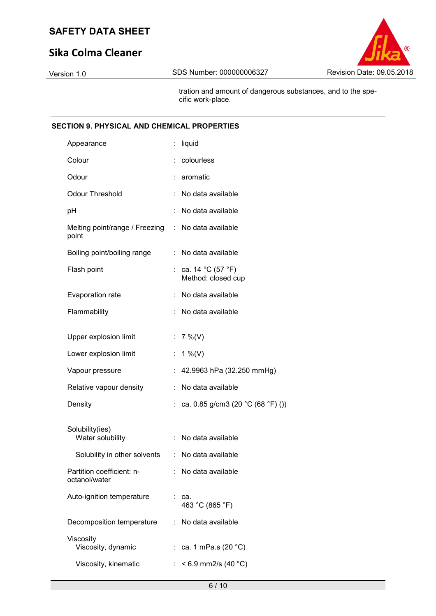# **Sika Colma Cleaner**



 tration and amount of dangerous substances, and to the specific work-place.

#### **SECTION 9. PHYSICAL AND CHEMICAL PROPERTIES**

| Appearance                                 |    | liquid                                    |
|--------------------------------------------|----|-------------------------------------------|
| Colour                                     |    | colourless                                |
| Odour                                      |    | aromatic                                  |
| <b>Odour Threshold</b>                     |    | No data available                         |
| рH                                         |    | No data available                         |
| Melting point/range / Freezing<br>point    |    | : No data available                       |
| Boiling point/boiling range                |    | No data available                         |
| Flash point                                |    | : ca. 14 °C (57 °F)<br>Method: closed cup |
| Evaporation rate                           |    | No data available                         |
| Flammability                               |    | No data available                         |
| Upper explosion limit                      |    | : $7\%$ (V)                               |
|                                            |    |                                           |
| Lower explosion limit                      | t. | 1 %(V)                                    |
| Vapour pressure                            |    | 42.9963 hPa (32.250 mmHg)                 |
| Relative vapour density                    |    | No data available                         |
| Density                                    |    | ca. 0.85 g/cm3 (20 °C (68 °F) ())         |
|                                            |    |                                           |
| Solubility(ies)<br>Water solubility        |    | No data available                         |
| Solubility in other solvents               | ÷. | No data available                         |
| Partition coefficient: n-<br>octanol/water |    | No data available                         |
| Auto-ignition temperature                  |    | : ca.<br>463 °C (865 °F)                  |
| Decomposition temperature                  | t. | No data available                         |
| Viscosity<br>Viscosity, dynamic            |    | : ca. 1 mPa.s (20 °C)                     |
| Viscosity, kinematic                       |    | $< 6.9$ mm2/s (40 °C)                     |
|                                            |    |                                           |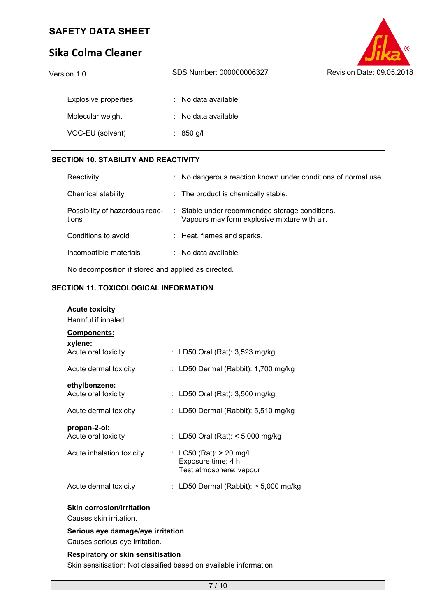# **Sika Colma Cleaner**

| JINU CUIIIIU CILUIILI       |                                | <b>PIING</b>              |
|-----------------------------|--------------------------------|---------------------------|
| Version 1.0                 | SDS Number: 000000006327       | Revision Date: 09.05.2018 |
|                             |                                |                           |
| <b>Explosive properties</b> | $\therefore$ No data available |                           |
| Molecular weight            | : No data available            |                           |
| VOC-EU (solvent)            | : 850 g/l                      |                           |

 $\circledR$ 

### **SECTION 10. STABILITY AND REACTIVITY**

| Reactivity                                          |  | : No dangerous reaction known under conditions of normal use.                                  |
|-----------------------------------------------------|--|------------------------------------------------------------------------------------------------|
| Chemical stability                                  |  | : The product is chemically stable.                                                            |
| Possibility of hazardous reac-<br>tions             |  | : Stable under recommended storage conditions.<br>Vapours may form explosive mixture with air. |
| Conditions to avoid                                 |  | : Heat, flames and sparks.                                                                     |
| Incompatible materials                              |  | $\therefore$ No data available                                                                 |
| No decomposition if stored and applied as directed. |  |                                                                                                |

## **SECTION 11. TOXICOLOGICAL INFORMATION**

| <b>Acute toxicity</b>                                              |    |                                     |  |
|--------------------------------------------------------------------|----|-------------------------------------|--|
| Harmful if inhaled.                                                |    |                                     |  |
| Components:                                                        |    |                                     |  |
| xylene:                                                            |    |                                     |  |
| Acute oral toxicity                                                |    | : LD50 Oral (Rat): 3,523 mg/kg      |  |
| Acute dermal toxicity                                              |    | LD50 Dermal (Rabbit): 1,700 mg/kg   |  |
| ethylbenzene:                                                      |    |                                     |  |
| Acute oral toxicity                                                |    | : LD50 Oral (Rat): 3,500 mg/kg      |  |
| Acute dermal toxicity                                              |    | : LD50 Dermal (Rabbit): 5,510 mg/kg |  |
| propan-2-ol:                                                       |    |                                     |  |
| Acute oral toxicity                                                | ÷. | LD50 Oral (Rat): < 5,000 mg/kg      |  |
| Acute inhalation toxicity                                          |    | : LC50 (Rat): $> 20$ mg/l           |  |
|                                                                    |    | Exposure time: 4 h                  |  |
|                                                                    |    | Test atmosphere: vapour             |  |
| Acute dermal toxicity                                              |    | LD50 Dermal (Rabbit): > 5,000 mg/kg |  |
| <b>Skin corrosion/irritation</b>                                   |    |                                     |  |
| Causes skin irritation.                                            |    |                                     |  |
| Serious eye damage/eye irritation                                  |    |                                     |  |
| Causes serious eye irritation.                                     |    |                                     |  |
| <b>Respiratory or skin sensitisation</b>                           |    |                                     |  |
| Skin sensitisation: Not classified based on available information. |    |                                     |  |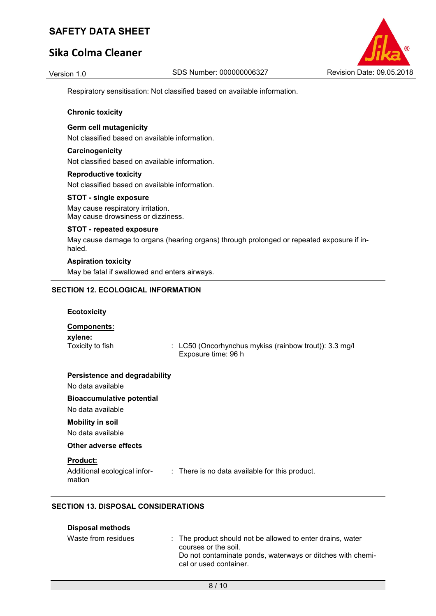# **Sika Colma Cleaner**



Respiratory sensitisation: Not classified based on available information.

#### **Chronic toxicity**

#### **Germ cell mutagenicity**

Not classified based on available information.

#### **Carcinogenicity**

Not classified based on available information.

#### **Reproductive toxicity**

Not classified based on available information.

#### **STOT - single exposure**

May cause respiratory irritation. May cause drowsiness or dizziness.

#### **STOT - repeated exposure**

May cause damage to organs (hearing organs) through prolonged or repeated exposure if inhaled.

#### **Aspiration toxicity**

May be fatal if swallowed and enters airways.

#### **SECTION 12. ECOLOGICAL INFORMATION**

#### **Ecotoxicity**

#### **Components:**

**xylene:** 

Toxicity to fish : LC50 (Oncorhynchus mykiss (rainbow trout)): 3.3 mg/l Exposure time: 96 h

#### **Persistence and degradability**

No data available

#### **Bioaccumulative potential**

No data available

## **Mobility in soil**

No data available

**Disposal methods**

#### **Other adverse effects**

#### **Product:**

Additional ecological information : There is no data available for this product.

### **SECTION 13. DISPOSAL CONSIDERATIONS**

| <b>PISPUSAI IIIGUIUUS</b> |                                                                                                                                                                            |
|---------------------------|----------------------------------------------------------------------------------------------------------------------------------------------------------------------------|
| Waste from residues       | : The product should not be allowed to enter drains, water<br>courses or the soil.<br>Do not contaminate ponds, waterways or ditches with chemi-<br>cal or used container. |
|                           |                                                                                                                                                                            |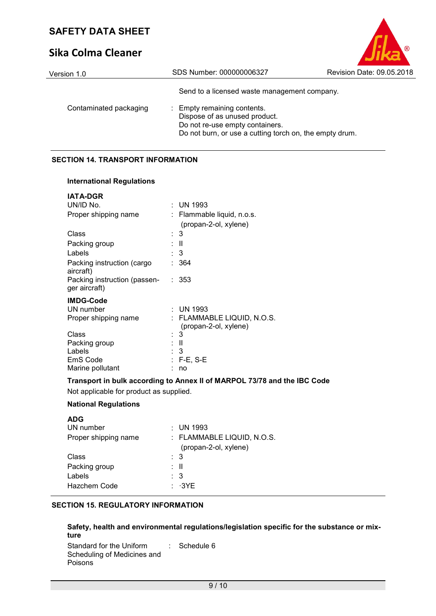# **Sika Colma Cleaner**

| Version 1.0            | SDS Number: 000000006327                                                                                                                                   | Revision Date: 09.05.2018 |
|------------------------|------------------------------------------------------------------------------------------------------------------------------------------------------------|---------------------------|
|                        | Send to a licensed waste management company.                                                                                                               |                           |
| Contaminated packaging | : Empty remaining contents.<br>Dispose of as unused product.<br>Do not re-use empty containers.<br>Do not burn, or use a cutting torch on, the empty drum. |                           |

 $\circ$ 

### **SECTION 14. TRANSPORT INFORMATION**

#### **International Regulations**

| <b>IATA-DGR</b>                               |    |                                                     |
|-----------------------------------------------|----|-----------------------------------------------------|
| UN/ID No.                                     |    | $:$ UN 1993                                         |
| Proper shipping name                          |    | : Flammable liquid, n.o.s.<br>(propan-2-ol, xylene) |
| Class                                         |    | 3                                                   |
| Packing group                                 |    | : II                                                |
| Labels                                        |    | : 3                                                 |
| Packing instruction (cargo<br>aircraft)       |    | 364                                                 |
| Packing instruction (passen-<br>ger aircraft) | ÷. | 353                                                 |
| <b>IMDG-Code</b>                              |    |                                                     |
| UN number                                     |    | : UN 1993                                           |
| Proper shipping name                          |    | : FLAMMABLE LIQUID, N.O.S.<br>(propan-2-ol, xylene) |
| Class                                         |    | : 3                                                 |
| Packing group                                 |    | : II                                                |
| Labels                                        |    | : 3                                                 |
| EmS Code                                      |    | : F-E, S-E                                          |
| Marine pollutant                              |    | no                                                  |

### **Transport in bulk according to Annex II of MARPOL 73/78 and the IBC Code**

Not applicable for product as supplied.

### **National Regulations**

| <b>ADG</b>           |                                                     |
|----------------------|-----------------------------------------------------|
| UN number            | : UN 1993                                           |
| Proper shipping name | : FLAMMABLE LIQUID, N.O.S.<br>(propan-2-ol, xylene) |
| Class                | $\therefore$ 3                                      |
| Packing group        | : II                                                |
| Labels               | : 3                                                 |
| Hazchem Code         | $: \neg 3$ YE                                       |

### **SECTION 15. REGULATORY INFORMATION**

### **Safety, health and environmental regulations/legislation specific for the substance or mixture**

Standard for the Uniform Scheduling of Medicines and Poisons : Schedule 6